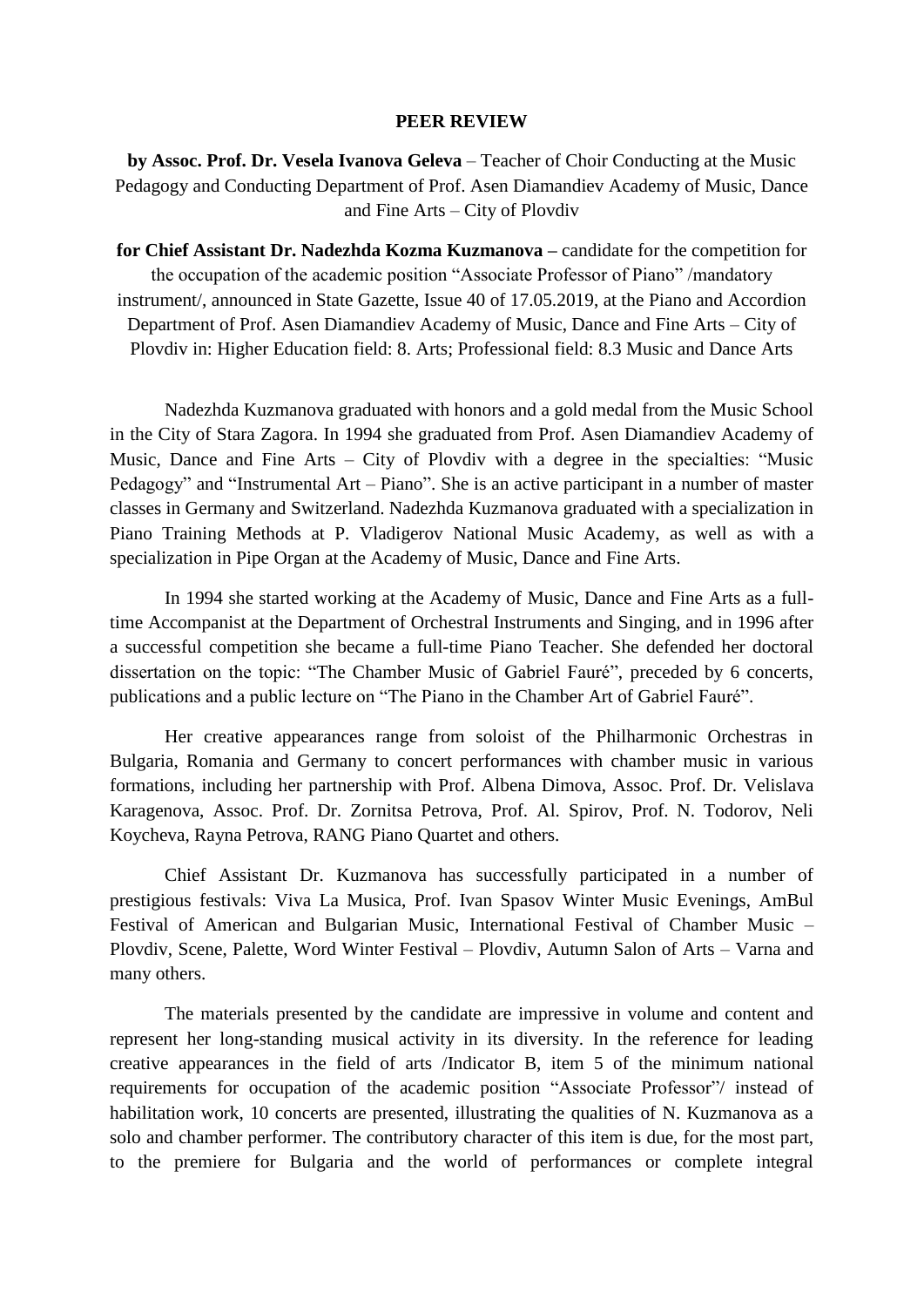## **PEER REVIEW**

**by Assoc. Prof. Dr. Vesela Ivanova Geleva** – Teacher of Choir Conducting at the Music Pedagogy and Conducting Department of Prof. Asen Diamandiev Academy of Music, Dance and Fine Arts – City of Plovdiv

**for Chief Assistant Dr. Nadezhda Kozma Kuzmanova –** candidate for the competition for the occupation of the academic position "Associate Professor of Piano" /mandatory instrument/, announced in State Gazette, Issue 40 of 17.05.2019, at the Piano and Accordion Department of Prof. Asen Diamandiev Academy of Music, Dance and Fine Arts – City of Plovdiv in: Higher Education field: 8. Arts; Professional field: 8.3 Music and Dance Arts

Nadezhda Kuzmanova graduated with honors and a gold medal from the Music School in the City of Stara Zagora. In 1994 she graduated from Prof. Asen Diamandiev Academy of Music, Dance and Fine Arts – City of Plovdiv with a degree in the specialties: "Music Pedagogy" and "Instrumental Art – Piano". She is an active participant in a number of master classes in Germany and Switzerland. Nadezhda Kuzmanova graduated with a specialization in Piano Training Methods at P. Vladigerov National Music Academy, as well as with a specialization in Pipe Organ at the Academy of Music, Dance and Fine Arts.

In 1994 she started working at the Academy of Music, Dance and Fine Arts as a fulltime Accompanist at the Department of Orchestral Instruments and Singing, and in 1996 after a successful competition she became a full-time Piano Teacher. She defended her doctoral dissertation on the topic: "The Chamber Music of Gabriel Fauré", preceded by 6 concerts, publications and a public lecture on "The Piano in the Chamber Art of Gabriel Fauré".

Her creative appearances range from soloist of the Philharmonic Orchestras in Bulgaria, Romania and Germany to concert performances with chamber music in various formations, including her partnership with Prof. Albena Dimova, Assoc. Prof. Dr. Velislava Karagenova, Assoc. Prof. Dr. Zornitsa Petrova, Prof. Al. Spirov, Prof. N. Todorov, Neli Koycheva, Rayna Petrova, RANG Piano Quartet and others.

Chief Assistant Dr. Kuzmanova has successfully participated in a number of prestigious festivals: Viva La Musica, Prof. Ivan Spasov Winter Music Evenings, AmBul Festival of American and Bulgarian Music, International Festival of Chamber Music – Plovdiv, Scene, Palette, Word Winter Festival – Plovdiv, Autumn Salon of Arts – Varna and many others.

The materials presented by the candidate are impressive in volume and content and represent her long-standing musical activity in its diversity. In the reference for leading creative appearances in the field of arts /Indicator B, item 5 of the minimum national requirements for occupation of the academic position "Associate Professor"/ instead of habilitation work, 10 concerts are presented, illustrating the qualities of N. Kuzmanova as a solo and chamber performer. The contributory character of this item is due, for the most part, to the premiere for Bulgaria and the world of performances or complete integral